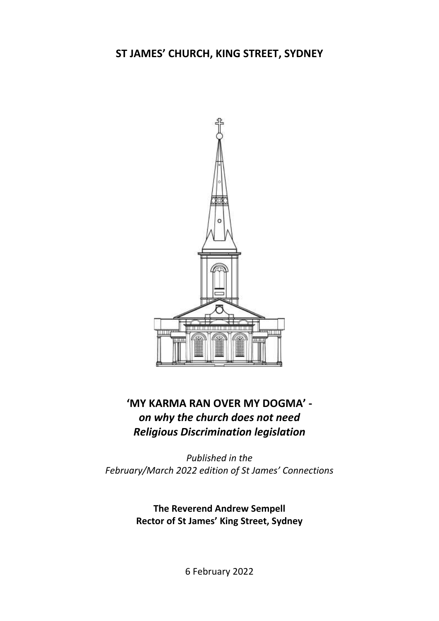## **ST JAMES' CHURCH, KING STREET, SYDNEY**



# **'MY KARMA RAN OVER MY DOGMA'**  *on why the church does not need Religious Discrimination legislation*

*Published in the February/March 2022 edition of St James' Connections*

> **The Reverend Andrew Sempell Rector of St James' King Street, Sydney**

> > 6 February 2022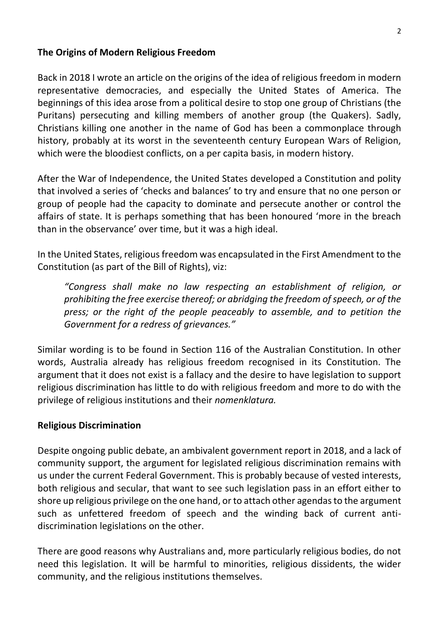#### **The Origins of Modern Religious Freedom**

Back in 2018 I wrote an article on the origins of the idea of religious freedom in modern representative democracies, and especially the United States of America. The beginnings of this idea arose from a political desire to stop one group of Christians (the Puritans) persecuting and killing members of another group (the Quakers). Sadly, Christians killing one another in the name of God has been a commonplace through history, probably at its worst in the seventeenth century European Wars of Religion, which were the bloodiest conflicts, on a per capita basis, in modern history.

After the War of Independence, the United States developed a Constitution and polity that involved a series of 'checks and balances' to try and ensure that no one person or group of people had the capacity to dominate and persecute another or control the affairs of state. It is perhaps something that has been honoured 'more in the breach than in the observance' over time, but it was a high ideal.

In the United States, religious freedom was encapsulated in the First Amendment to the Constitution (as part of the Bill of Rights), viz:

*"Congress shall make no law respecting an establishment of religion, or prohibiting the free exercise thereof; or abridging the freedom of speech, or of the*  press; or the right of the people peaceably to assemble, and to petition the *Government for a redress of grievances."*

Similar wording is to be found in Section 116 of the Australian Constitution. In other words, Australia already has religious freedom recognised in its Constitution. The argument that it does not exist is a fallacy and the desire to have legislation to support religious discrimination has little to do with religious freedom and more to do with the privilege of religious institutions and their *nomenklatura.*

#### **Religious Discrimination**

Despite ongoing public debate, an ambivalent government report in 2018, and a lack of community support, the argument for legislated religious discrimination remains with us under the current Federal Government. This is probably because of vested interests, both religious and secular, that want to see such legislation pass in an effort either to shore up religious privilege on the one hand, or to attach other agendas to the argument such as unfettered freedom of speech and the winding back of current antidiscrimination legislations on the other.

There are good reasons why Australians and, more particularly religious bodies, do not need this legislation. It will be harmful to minorities, religious dissidents, the wider community, and the religious institutions themselves.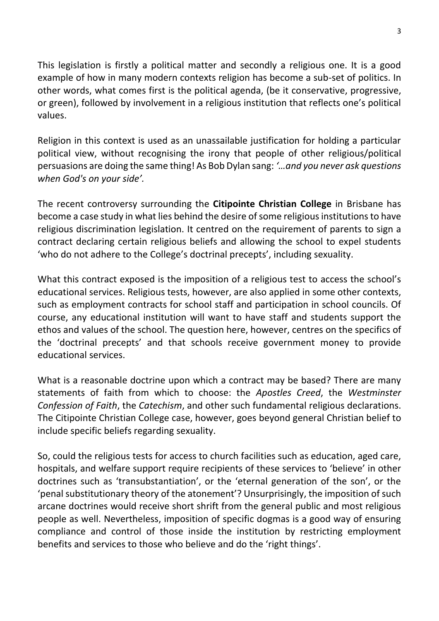This legislation is firstly a political matter and secondly a religious one. It is a good example of how in many modern contexts religion has become a sub-set of politics. In other words, what comes first is the political agenda, (be it conservative, progressive, or green), followed by involvement in a religious institution that reflects one's political values.

Religion in this context is used as an unassailable justification for holding a particular political view, without recognising the irony that people of other religious/political persuasions are doing the same thing! As Bob Dylan sang: *'…and you never ask questions when God's on your side'.*

The recent controversy surrounding the **Citipointe Christian College** in Brisbane has become a case study in what lies behind the desire of some religious institutions to have religious discrimination legislation. It centred on the requirement of parents to sign a contract declaring certain religious beliefs and allowing the school to expel students 'who do not adhere to the College's doctrinal precepts', including sexuality.

What this contract exposed is the imposition of a religious test to access the school's educational services. Religious tests, however, are also applied in some other contexts, such as employment contracts for school staff and participation in school councils. Of course, any educational institution will want to have staff and students support the ethos and values of the school. The question here, however, centres on the specifics of the 'doctrinal precepts' and that schools receive government money to provide educational services.

What is a reasonable doctrine upon which a contract may be based? There are many statements of faith from which to choose: the *Apostles Creed*, the *Westminster Confession of Faith*, the *Catechism*, and other such fundamental religious declarations. The Citipointe Christian College case, however, goes beyond general Christian belief to include specific beliefs regarding sexuality.

So, could the religious tests for access to church facilities such as education, aged care, hospitals, and welfare support require recipients of these services to 'believe' in other doctrines such as 'transubstantiation', or the 'eternal generation of the son', or the 'penal substitutionary theory of the atonement'? Unsurprisingly, the imposition of such arcane doctrines would receive short shrift from the general public and most religious people as well. Nevertheless, imposition of specific dogmas is a good way of ensuring compliance and control of those inside the institution by restricting employment benefits and services to those who believe and do the 'right things'.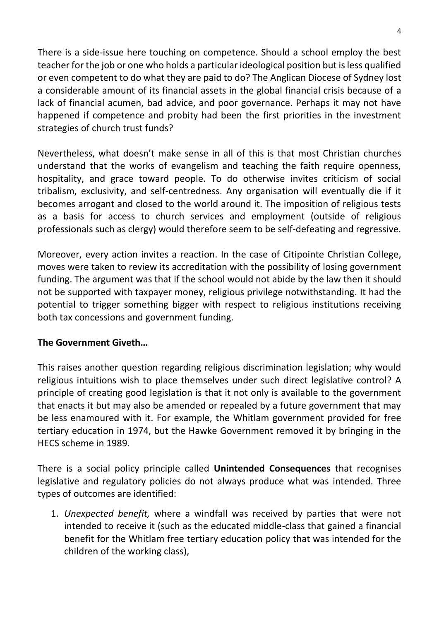There is a side-issue here touching on competence. Should a school employ the best teacher for the job or one who holds a particular ideological position but is less qualified or even competent to do what they are paid to do? The Anglican Diocese of Sydney lost a considerable amount of its financial assets in the global financial crisis because of a lack of financial acumen, bad advice, and poor governance. Perhaps it may not have happened if competence and probity had been the first priorities in the investment strategies of church trust funds?

Nevertheless, what doesn't make sense in all of this is that most Christian churches understand that the works of evangelism and teaching the faith require openness, hospitality, and grace toward people. To do otherwise invites criticism of social tribalism, exclusivity, and self-centredness. Any organisation will eventually die if it becomes arrogant and closed to the world around it. The imposition of religious tests as a basis for access to church services and employment (outside of religious professionals such as clergy) would therefore seem to be self-defeating and regressive.

Moreover, every action invites a reaction. In the case of Citipointe Christian College, moves were taken to review its accreditation with the possibility of losing government funding. The argument was that if the school would not abide by the law then it should not be supported with taxpayer money, religious privilege notwithstanding. It had the potential to trigger something bigger with respect to religious institutions receiving both tax concessions and government funding.

### **The Government Giveth…**

This raises another question regarding religious discrimination legislation; why would religious intuitions wish to place themselves under such direct legislative control? A principle of creating good legislation is that it not only is available to the government that enacts it but may also be amended or repealed by a future government that may be less enamoured with it. For example, the Whitlam government provided for free tertiary education in 1974, but the Hawke Government removed it by bringing in the HECS scheme in 1989.

There is a social policy principle called **Unintended Consequences** that recognises legislative and regulatory policies do not always produce what was intended. Three types of outcomes are identified:

1. *Unexpected benefit,* where a windfall was received by parties that were not intended to receive it (such as the educated middle-class that gained a financial benefit for the Whitlam free tertiary education policy that was intended for the children of the working class),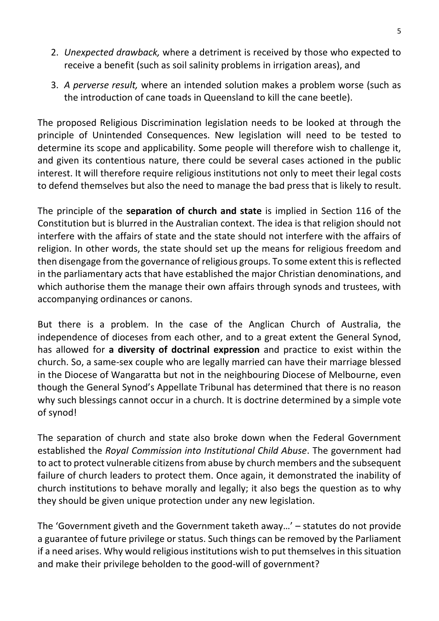- 2. *Unexpected drawback,* where a detriment is received by those who expected to receive a benefit (such as soil salinity problems in irrigation areas), and
- 3. *A perverse result,* where an intended solution makes a problem worse (such as the introduction of cane toads in Queensland to kill the cane beetle).

The proposed Religious Discrimination legislation needs to be looked at through the principle of Unintended Consequences. New legislation will need to be tested to determine its scope and applicability. Some people will therefore wish to challenge it, and given its contentious nature, there could be several cases actioned in the public interest. It will therefore require religious institutions not only to meet their legal costs to defend themselves but also the need to manage the bad press that is likely to result.

The principle of the **separation of church and state** is implied in Section 116 of the Constitution but is blurred in the Australian context. The idea is that religion should not interfere with the affairs of state and the state should not interfere with the affairs of religion. In other words, the state should set up the means for religious freedom and then disengage from the governance of religious groups. To some extent this is reflected in the parliamentary acts that have established the major Christian denominations, and which authorise them the manage their own affairs through synods and trustees, with accompanying ordinances or canons.

But there is a problem. In the case of the Anglican Church of Australia, the independence of dioceses from each other, and to a great extent the General Synod, has allowed for **a diversity of doctrinal expression** and practice to exist within the church. So, a same-sex couple who are legally married can have their marriage blessed in the Diocese of Wangaratta but not in the neighbouring Diocese of Melbourne, even though the General Synod's Appellate Tribunal has determined that there is no reason why such blessings cannot occur in a church. It is doctrine determined by a simple vote of synod!

The separation of church and state also broke down when the Federal Government established the *Royal Commission into Institutional Child Abuse*. The government had to act to protect vulnerable citizens from abuse by church members and the subsequent failure of church leaders to protect them. Once again, it demonstrated the inability of church institutions to behave morally and legally; it also begs the question as to why they should be given unique protection under any new legislation.

The 'Government giveth and the Government taketh away…' – statutes do not provide a guarantee of future privilege or status. Such things can be removed by the Parliament if a need arises. Why would religious institutions wish to put themselves in this situation and make their privilege beholden to the good-will of government?